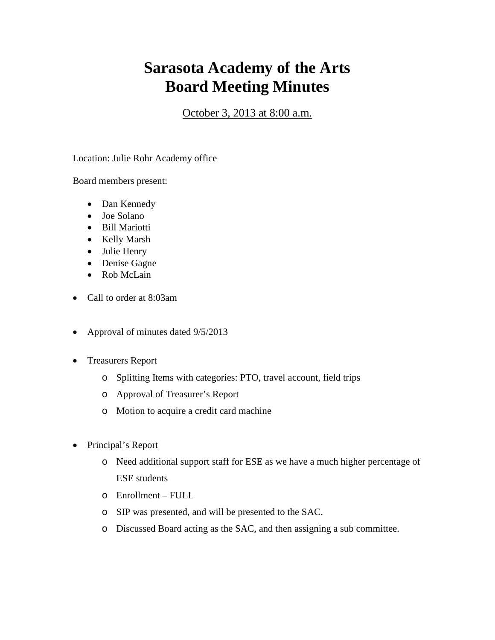## **Sarasota Academy of the Arts Board Meeting Minutes**

October 3, 2013 at 8:00 a.m.

Location: Julie Rohr Academy office

Board members present:

- Dan Kennedy
- Joe Solano
- Bill Mariotti
- Kelly Marsh
- Julie Henry
- Denise Gagne
- Rob McLain
- Call to order at 8:03am
- Approval of minutes dated  $9/5/2013$
- Treasurers Report
	- o Splitting Items with categories: PTO, travel account, field trips
	- o Approval of Treasurer's Report
	- o Motion to acquire a credit card machine
- Principal's Report
	- o Need additional support staff for ESE as we have a much higher percentage of ESE students
	- o Enrollment FULL
	- o SIP was presented, and will be presented to the SAC.
	- o Discussed Board acting as the SAC, and then assigning a sub committee.